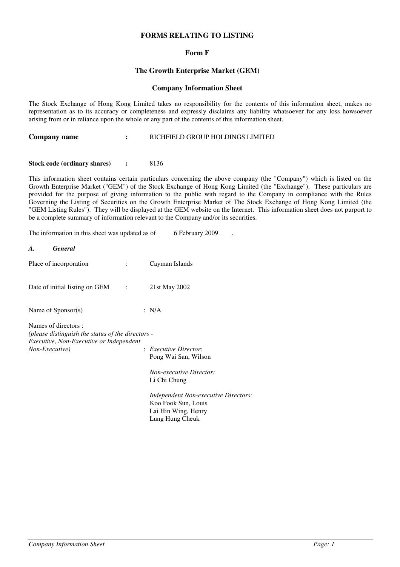# **FORMS RELATING TO LISTING**

# **Form F**

# **The Growth Enterprise Market (GEM)**

### **Company Information Sheet**

The Stock Exchange of Hong Kong Limited takes no responsibility for the contents of this information sheet, makes no representation as to its accuracy or completeness and expressly disclaims any liability whatsoever for any loss howsoever arising from or in reliance upon the whole or any part of the contents of this information sheet.

| Company name | RICHFIELD GROUP HOLDINGS LIMITED |
|--------------|----------------------------------|
|--------------|----------------------------------|

### **Stock code (ordinary shares) :** 8136

This information sheet contains certain particulars concerning the above company (the "Company") which is listed on the Growth Enterprise Market ("GEM") of the Stock Exchange of Hong Kong Limited (the "Exchange"). These particulars are provided for the purpose of giving information to the public with regard to the Company in compliance with the Rules Governing the Listing of Securities on the Growth Enterprise Market of The Stock Exchange of Hong Kong Limited (the "GEM Listing Rules"). They will be displayed at the GEM website on the Internet. This information sheet does not purport to be a complete summary of information relevant to the Company and/or its securities.

The information in this sheet was updated as of  $6$  February 2009

| $\mathbf{A}$ . | <b>General</b>                                                                                                       |                   |                                                                                                       |
|----------------|----------------------------------------------------------------------------------------------------------------------|-------------------|-------------------------------------------------------------------------------------------------------|
|                | Place of incorporation                                                                                               |                   | Cayman Islands                                                                                        |
|                | Date of initial listing on GEM                                                                                       | $\sim$ 100 $\sim$ | 21st May 2002                                                                                         |
|                | Name of $Sponsor(s)$                                                                                                 |                   | : $N/A$                                                                                               |
| Non-Executive) | Names of directors :<br>(please distinguish the status of the directors -<br>Executive, Non-Executive or Independent |                   | $:$ Executive Director:<br>Pong Wai San, Wilson                                                       |
|                |                                                                                                                      |                   | <b>Non-executive Director:</b><br>Li Chi Chung                                                        |
|                |                                                                                                                      |                   | Independent Non-executive Directors:<br>Koo Fook Sun, Louis<br>Lai Hin Wing, Henry<br>Lung Hung Cheuk |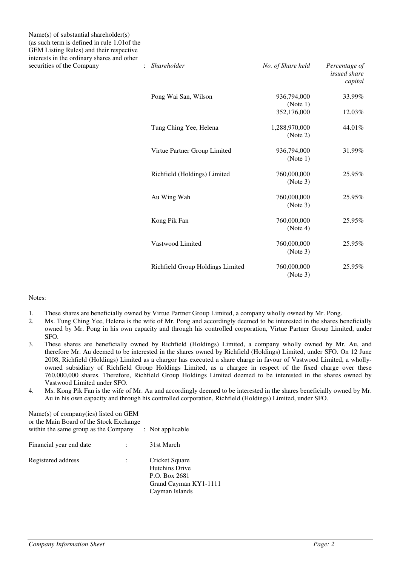Name(s) of substantial shareholder(s) (as such term is defined in rule 1.01of the GEM Listing Rules) and their respective interests in the ordinary shares and other  $S<sub>1</sub>$  *securities of the Company*  $S<sub>2</sub>$  *i* 

| <b>Shareholder</b>               | No. of Share held         | Percentage of<br><i>issued share</i><br>capital |
|----------------------------------|---------------------------|-------------------------------------------------|
| Pong Wai San, Wilson             | 936,794,000<br>(Note 1)   | 33.99%                                          |
|                                  | 352,176,000               | 12.03%                                          |
| Tung Ching Yee, Helena           | 1,288,970,000<br>(Note 2) | 44.01%                                          |
| Virtue Partner Group Limited     | 936,794,000<br>(Note 1)   | 31.99%                                          |
| Richfield (Holdings) Limited     | 760,000,000<br>(Note 3)   | 25.95%                                          |
| Au Wing Wah                      | 760,000,000<br>(Note 3)   | 25.95%                                          |
| Kong Pik Fan                     | 760,000,000<br>(Note 4)   | 25.95%                                          |
| Vastwood Limited                 | 760,000,000<br>(Note 3)   | 25.95%                                          |
| Richfield Group Holdings Limited | 760,000,000<br>(Note 3)   | 25.95%                                          |

### Notes:

- 1. These shares are beneficially owned by Virtue Partner Group Limited, a company wholly owned by Mr. Pong.<br>2. Ms. Tung Ching Yee, Helena is the wife of Mr. Pong and accordingly deemed to be interested in the shares b
- 2. Ms. Tung Ching Yee, Helena is the wife of Mr. Pong and accordingly deemed to be interested in the shares beneficially owned by Mr. Pong in his own capacity and through his controlled corporation, Virtue Partner Group Limited, under SFO.
- 3. These shares are beneficially owned by Richfield (Holdings) Limited, a company wholly owned by Mr. Au, and therefore Mr. Au deemed to be interested in the shares owned by Richfield (Holdings) Limited, under SFO. On 12 June 2008, Richfield (Holdings) Limited as a chargor has executed a share charge in favour of Vastwood Limited, a whollyowned subsidiary of Richfield Group Holdings Limited, as a chargee in respect of the fixed charge over these 760,000,000 shares. Therefore, Richfield Group Holdings Limited deemed to be interested in the shares owned by Vastwood Limited under SFO.
- 4. Ms. Kong Pik Fan is the wife of Mr. Au and accordingly deemed to be interested in the shares beneficially owned by Mr. Au in his own capacity and through his controlled corporation, Richfield (Holdings) Limited, under SFO.

| Name(s) of company(ies) listed on GEM<br>or the Main Board of the Stock Exchange<br>within the same group as the Company |  | $:$ Not applicable                                                                                  |
|--------------------------------------------------------------------------------------------------------------------------|--|-----------------------------------------------------------------------------------------------------|
|                                                                                                                          |  |                                                                                                     |
| Financial year end date                                                                                                  |  | 31st March                                                                                          |
| Registered address                                                                                                       |  | Cricket Square<br><b>Hutchins Drive</b><br>P.O. Box 2681<br>Grand Cayman KY1-1111<br>Cayman Islands |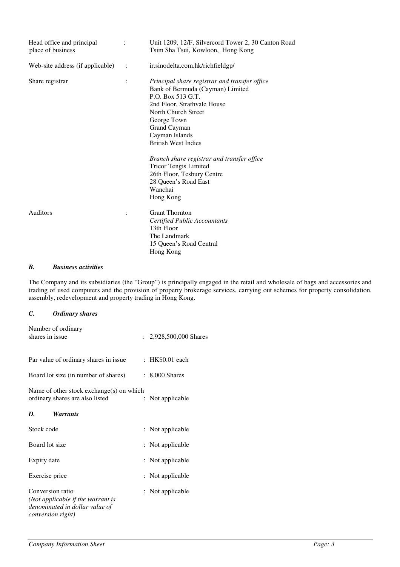| Head office and principal<br>place of business | $\ddot{\cdot}$ | Unit 1209, 12/F, Silvercord Tower 2, 30 Canton Road<br>Tsim Sha Tsui, Kowloon, Hong Kong                                                                                                                                                                                                                                  |
|------------------------------------------------|----------------|---------------------------------------------------------------------------------------------------------------------------------------------------------------------------------------------------------------------------------------------------------------------------------------------------------------------------|
| Web-site address (if applicable)               | $\mathbb{R}^2$ | ir.sinodelta.com.hk/richfieldgp/                                                                                                                                                                                                                                                                                          |
| Share registrar                                | $\ddot{\cdot}$ | Principal share registrar and transfer office<br>Bank of Bermuda (Cayman) Limited<br>P.O. Box 513 G.T.<br>2nd Floor, Strathvale House<br>North Church Street<br>George Town<br>Grand Cayman<br>Cayman Islands<br><b>British West Indies</b><br>Branch share registrar and transfer office<br><b>Tricor Tengis Limited</b> |
|                                                |                | 26th Floor, Tesbury Centre<br>28 Queen's Road East<br>Wanchai<br>Hong Kong                                                                                                                                                                                                                                                |
| Auditors                                       | $\ddot{\cdot}$ | <b>Grant Thornton</b><br>Certified Public Accountants<br>13th Floor<br>The Landmark<br>15 Queen's Road Central<br>Hong Kong                                                                                                                                                                                               |

### *B. Business activities*

The Company and its subsidiaries (the "Group") is principally engaged in the retail and wholesale of bags and accessories and trading of used computers and the provision of property brokerage services, carrying out schemes for property consolidation, assembly, redevelopment and property trading in Hong Kong.

# *C. Ordinary shares*

| Number of ordinary<br>shares in issue                                                                                |                      | : $2,928,500,000$ Shares |
|----------------------------------------------------------------------------------------------------------------------|----------------------|--------------------------|
| Par value of ordinary shares in issue                                                                                |                      | : HK\$0.01 each          |
| Board lot size (in number of shares)                                                                                 |                      | $: 8,000$ Shares         |
| Name of other stock exchange(s) on which<br>ordinary shares are also listed                                          | $\ddot{\phantom{0}}$ | Not applicable           |
| D.<br><i>Warrants</i>                                                                                                |                      |                          |
| Stock code                                                                                                           |                      | : Not applicable         |
| Board lot size                                                                                                       |                      | : Not applicable         |
| Expiry date                                                                                                          |                      | : Not applicable         |
| Exercise price                                                                                                       |                      | : Not applicable         |
| Conversion ratio<br>(Not applicable if the warrant is<br>denominated in dollar value of<br><i>conversion right</i> ) |                      | : Not applicable         |